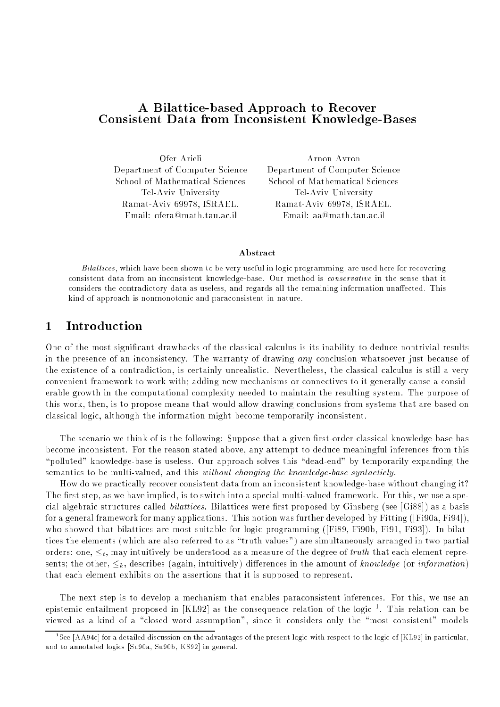# A Bilattice-based Approach to Recover Consistent Data from Inconsistent Knowledge-Bases

Ofer Arieli Arnon Avron Department of Computer Science Department of Computer Science School of Mathematical Sciences School of Mathematical Sciences Tel-Aviv University Tel-Aviv University Ramat-Aviv 69978, ISRAEL. Ramat-Aviv 69978, ISRAEL. Email: ofera@math.tau.ac.il Email: aa@math.tau.ac.il

## Abstract

Bilattices , which have been shown to be very useful in logic programming, are used here for recovering consistent data from an inconsistent knowledge-base. Our method is conservative in the sense that it considers the contradictory data as useless, and regards all the remaining information unaected. This kind of approach is nonmonotonic and paraconsistent in nature.

# 1 Introduction

One of the most signicant drawbacks of the classical calculus is its inability to deduce nontrivial results in the presence of an inconsistency. The warranty of drawing any conclusion whatsoever just because of the existence of a contradiction, is certainly unrealistic. Nevertheless, the classical calculus is still a very convenient framework to work with; adding new mechanisms or connectives to it generally cause a considerable growth in the computational complexity needed to maintain the resulting system. The purpose of this work, then, is to propose means that would allow drawing conclusions from systems that are based on classical logic, although the information might become temporarily inconsistent.

The scenario we think of is the following: Suppose that a given first-order classical knowledge-base has become inconsistent. For the reason stated above, any attempt to deduce meaningful inferences from this "polluted" knowledge-base is useless. Our approach solves this "dead-end" by temporarily expanding the semantics to be multi-valued, and this without changing the knowledge-base syntacticly.

How do we practically recover consistent data from an inconsistent knowledge-base without changing it? The first step, as we have implied, is to switch into a special multi-valued framework. For this, we use a special algebraic structures called *bilattices*. Bilattices were first proposed by Ginsberg (see [Gi88]) as a basis for a general framework for many applications. This notion was further developed by Fitting ([Fi90a, Fi94]), who showed that bilattices are most suitable for logic programming ([Fi89, Fi90b, Fi91, Fi93]). In bilattices the elements (which are also referred to as "truth values") are simultaneously arranged in two partial orders: one,  $\leq_t$ , may intuitively be understood as a measure of the degree of truth that each element represents; the other,  $\leq_k$ , describes (again, intuitively) differences in the amount of knowledge (or information) that each element exhibits on the assertions that it is supposed to represent.

The next step is to develop a mechanism that enables paraconsistent inferences. For this, we use an epistemic entailment proposed in [KL92] as the consequence relation of the logic <sup>1</sup> . This relation can be viewed as a kind of a "closed word assumption", since it considers only the "most consistent" models

<sup>1</sup> See [AA94c] for a detailed discussion on the advantages of the present logic with respect to the logic of [KL92] in particular, and to annotated logics [Su90a, Su90b, KS92] in general.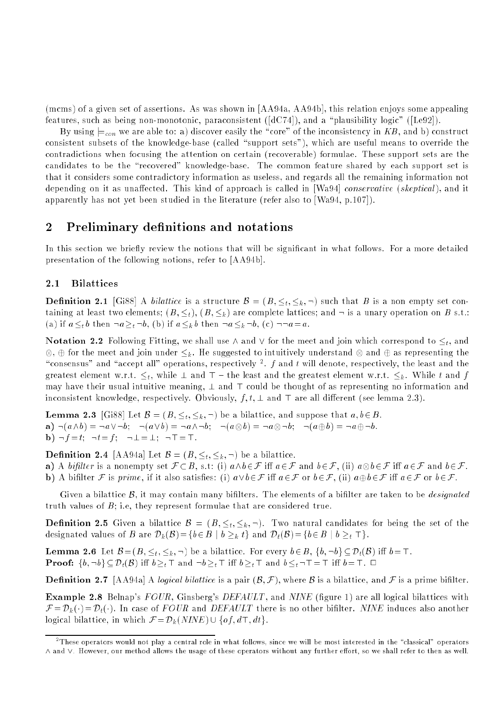(mcms) of a given set of assertions. As was shown in [AA94a, AA94b], this relation enjoys some appealing features, such as being non-monotonic, paraconsistent ([dC74]), and a "plausibility logic" ([Le92]).

By using  $\models_{con}$  we are able to: a) discover easily the "core" of the inconsistency in KB, and b) construct consistent subsets of the knowledge-base (called "support sets"), which are useful means to override the contradictions when focusing the attention on certain (recoverable) formulae. These support sets are the candidates to be the "recovered" knowledge-base. The common feature shared by each support set is that it considers some contradictory information as useless, and regards all the remaining information not depending on it as unaffected. This kind of approach is called in [Wa94] *conservative* (skeptical), and it apparently has not yet been studied in the literature (refer also to [Wa94, p.107]).

# 2 Preliminary definitions and notations

In this section we briefly review the notions that will be significant in what follows. For a more detailed presentation of the following notions, refer to [AA94b].

### 2.1Bilattices

**Definition 2.1** [Gi88] A *bilattice* is a structure  $\mathcal{B} = (B, \leq_t, \leq_k, \neg)$  such that B is a non empty set containing at least two elements;  $(B, \leq_t), (B, \leq_k)$  are complete lattices; and  $\neg$  is a unary operation on B s.t.: (a) if  $a \leq_t b$  then  $\neg a \geq_t \neg b$ , (b) if  $a \leq_k b$  then  $\neg a \leq_k \neg b$ , (c)  $\neg \neg a = a$ .

Notation 2.2 Following Fitting, we shall use  $\wedge$  and  $\vee$  for the meet and join which correspond to  $\leq_t$ , and , is and interested to interested to interested to interested to interested the supervisor of the supervisor of  $\alpha$ "consensus" and "accept all" operations, respectively <sup>2</sup>. f and t will denote, respectively, the least and the greatest element w.r.t.  $\leq_t$ , while  $\perp$  and  $\top$  - the least and the greatest element w.r.t.  $\leq_k$ . While t and f may have their usual intuitive meaning,  $\perp$  and  $\top$  could be thought of as representing no information and inconsistent knowledge, respectively. Obviously,  $f, t, \perp$  and  $\top$  are all different (see lemma 2.3).

**Lemma 2.3** [Gi88] Let  $\mathcal{B} = (B, \leq_t, \leq_k, \neg)$  be a bilattice, and suppose that  $a, b \in B$ . a)  $\neg(a \wedge b) = \neg a \vee \neg b; \quad \neg(a \vee b) = \neg a \wedge \neg b; \quad \neg(a \otimes b) = \neg a \otimes \neg b; \quad \neg(a \oplus b) = \neg a \oplus \neg b.$ **b**)  $\neg f = t$ ;  $\neg t = f$ ;  $\neg \bot = \bot$ ;  $\neg \top = \top$ .

**Definition 2.4** [AA94a] Let  $\mathcal{B} = (B, \leq_t, \leq_k, \neg)$  be a bilattice.

**a**) A bifilter is a nonempty set  $\mathcal{F} \subset B$ , s.t. (i)  $a \wedge b \in \mathcal{F}$  iff  $a \in \mathcal{F}$  and  $b \in \mathcal{F}$ , (ii)  $a \otimes b \in \mathcal{F}$  iff  $a \in \mathcal{F}$  and  $b \in \mathcal{F}$ . **b**) A bifilter F is prime, if it also satisfies: (i)  $a \lor b \in F$  iff  $a \in F$  or  $b \in F$ , (ii)  $a \oplus b \in F$  iff  $a \in F$  or  $b \in F$ .

Given a bilattice  $\beta$ , it may contain many bifilters. The elements of a bifilter are taken to be *designated* truth values of B; i.e, they represent formulae that are considered true.

**Definition 2.5** Given a bilattice  $\mathcal{B} = (B, \leq_t, \leq_k, \neg)$ . Two natural candidates for being the set of the designated values of B are  $\mathcal{D}_k(\mathcal{B}) = \{b \in B \mid b \geq_k t\}$  and  $\mathcal{D}_t(\mathcal{B}) = \{b \in B \mid b \geq_t \top\}.$ 

**Lemma 2.6** Let  $\mathcal{B} = (B, \leq_t, \leq_k, \neg)$  be a bilattice. For every  $b \in B, \{b, \neg b\} \subseteq \mathcal{D}_t(\mathcal{B})$  iff  $b = \top$ . **Proof:**  $\{b, \neg b\} \subseteq \mathcal{D}_t(\mathcal{B})$  iff  $b \geq_t \top$  and  $\neg b \geq_t \top$  iff  $b \geq_t \top$  and  $b \leq_t \top = \top$  iff  $b = \top$ .  $\Box$ 

**Definition 2.7** [AA94a] A *logical bilattice* is a pair  $(\mathcal{B}, \mathcal{F})$ , where  $\mathcal{B}$  is a bilattice, and  $\mathcal{F}$  is a prime bifilter.

**Example 2.8** Belnap's  $FOUR$ , Ginsberg's DEFAULT, and NINE (figure 1) are all logical bilattices with  $\mathcal{F} = \mathcal{D}_k(\cdot) = \mathcal{D}_t(\cdot)$ . In case of FOUR and DEFAULT there is no other bifilter. NINE induces also another logical bilattice, in which  $\mathcal{F} = \mathcal{D}_k(NINE) \cup \{of, d\top, dt\}.$ 

These operators would not play a central role in what follows, since we will be most interested in the "classical" operators ^ and \_. However, our method allows the usage of these operators without any further eort, so we shall refer to then as well.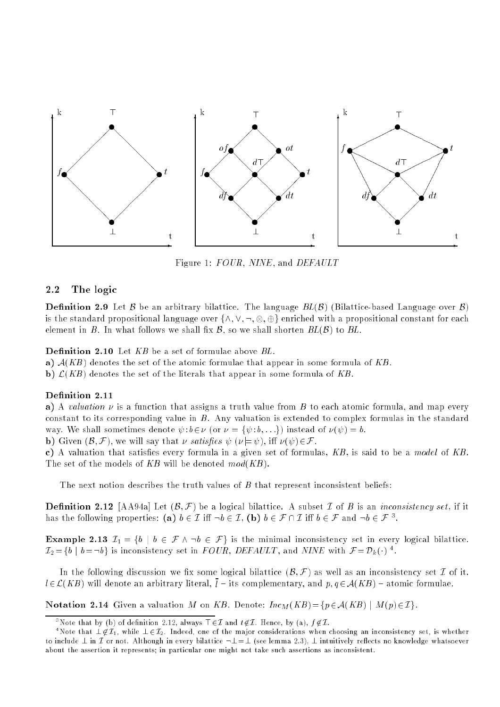

Figure 1: FOUR, NINE, and DEFAULT

### 2.2The logic

**Definition 2.9** Let  $\beta$  be an arbitrary bilattice. The language  $BL(\beta)$  (Bilattice-based Language over  $\beta$ )  $i$  is the standard propositional language over  $(i, j, k)$  ;  $\varphi$  ,  $\psi$  ) enfield with a propositional constant for each element in B. In what follows we shall fix  $\mathcal{B}$ , so we shall shorten  $BL(\mathcal{B})$  to  $BL$ .

## **Definition 2.10** Let  $KB$  be a set of formulae above  $BL$ .

a)  $A(KB)$  denotes the set of the atomic formulae that appear in some formula of KB.

b)  $\mathcal{L}(KB)$  denotes the set of the literals that appear in some formula of KB.

### Definition 2.11

a) A valuation  $\nu$  is a function that assigns a truth value from B to each atomic formula, and map every constant to its corresponding value in  $B$ . Any valuation is extended to complex formulas in the standard way. We shall sometimes denote  $\psi : b \in \nu$  (or  $\nu = {\psi : b, \ldots}$ ) instead of  $\nu(\psi) = b$ .

**b**) Given  $(\mathcal{B}, \mathcal{F})$ , we will say that  $\nu$  satisfies  $\psi$  ( $\nu \models \psi$ ), iff  $\nu(\psi) \in \mathcal{F}$ .

c) A valuation that satisfies every formula in a given set of formulas,  $KB$ , is said to be a *model* of  $KB$ . The set of the models of KB will be denoted  $mod(KB)$ .

The next notion describes the truth values of  $B$  that represent inconsistent beliefs:

**Definition 2.12** [AA94a] Let  $(B, \mathcal{F})$  be a logical bilattice. A subset  $\mathcal{I}$  of  $B$  is an *inconsistency set*, if it has the following properties: (a)  $b \in \mathcal{I}$  iff  $\neg b \in \mathcal{I}$ , (b)  $b \in \mathcal{F} \cap \mathcal{I}$  iff  $b \in \mathcal{F}$  and  $\neg b \in \mathcal{F}$  <sup>3</sup>.

**Example 2.13**  $\mathcal{I}_1 = \{b \mid b \in \mathcal{F} \land \neg b \in \mathcal{F}\}\$ is the minimal inconsistency set in every logical bilattice.  $\mathcal{I}_2 = \{b \mid b = \neg b\}$  is inconsistency set in FOUR, DEFAULT, and NINE with  $\mathcal{F} = \mathcal{D}_k(\cdot)$ <sup>4</sup>.

In the following discussion we fix some logical bilattice  $(B, \mathcal{F})$  as well as an inconsistency set  $\mathcal I$  of it.  $l \in \mathcal{L}(KB)$  will denote an arbitrary literal,  $\bar{l}$  – its complementary, and  $p, q \in \mathcal{A}(KB)$  – atomic formulae.

Notation 2.14 Given a valuation M on KB. Denote:  $Inc_M(KB) = \{p \in A(KB) \mid M(p) \in \mathcal{I}\}.$ 

<sup>&</sup>quot;Note that by (b) of definition 2.12, always  $1\in L$  and  $t\not\in L$ . Hence, by (a),  $f\not\in L$ .

<sup>&</sup>quot;Note that  $\bot \not\in L_1,$  while  $\bot \in L_2.$  Indeed, one of the major considerations when choosing an inconsistency set, is whether to include  $\perp$  in I or not. Although in every bilattice  $\neg \perp = \perp$  (see lemma 2.3),  $\perp$  intuitively reflects no knowledge whatsoever about the assertion it represents; in particular one might not take such assertions as inconsistent.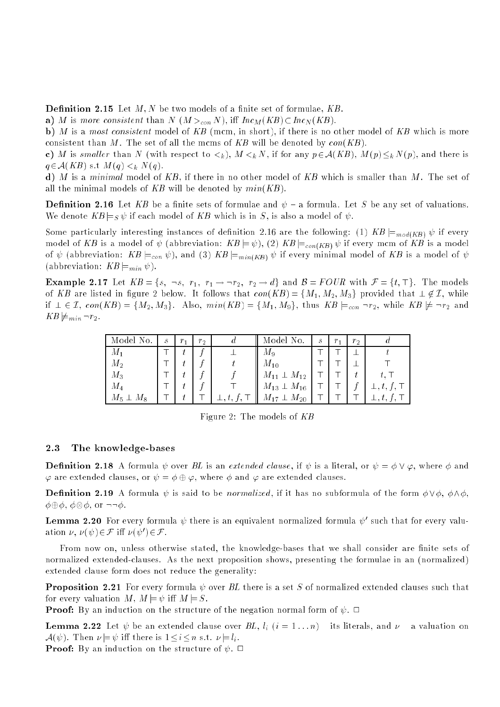**Definition 2.15** Let  $M, N$  be two models of a finite set of formulae,  $KB$ .

a) M is more consistent than  $N(M >_{con} N)$ , iff  $\text{Inc}_M(KB) \subset \text{Inc}_N(KB)$ .

b) M is a most consistent model of  $KB$  (mcm, in short), if there is no other model of  $KB$  which is more consistent than M. The set of all the mcms of KB will be denoted by  $con(KB)$ .

c) M is smaller than N (with respect to  $\lt_k$ ),  $M \lt_k N$ , if for any  $p \in A(KB)$ ,  $M(p) \leq_k N(p)$ , and there is  $q \in A(KB)$  s.t  $M(q) <_k N(q)$ .

d) M is a minimal model of  $KB$ , if there in no other model of  $KB$  which is smaller than M. The set of all the minimal models of  $KB$  will be denoted by  $min(KB)$ .

**Definition 2.16** Let KB be a finite sets of formulae and  $\psi$  – a formula. Let S be any set of valuations. We denote  $KB \models_S \psi$  if each model of KB which is in S, is also a model of  $\psi$ .

Some particularly interesting instances of definition 2.16 are the following: (1)  $KB \models_{mod(KB)} \psi$  if every model of KB is a model of  $\psi$  (abbreviation:  $KB \models \psi$ ), (2)  $KB \models_{con(KB)} \psi$  if every mcm of KB is a model of  $\psi$  (abbreviation:  $KB \models_{con} \psi$ ), and (3)  $KB \models_{min(KB)} \psi$  if every minimal model of KB is a model of  $\psi$ (abbreviation:  $KB \models_{min} \psi$ ).

**Example 2.17** Let  $KB = \{s, \neg s, r_1, r_1 \rightarrow \neg r_2, r_2 \rightarrow d\}$  and  $\mathcal{B} = FOUR$  with  $\mathcal{F} = \{t, \top\}$ . The models of KB are listed in figure 2 below. It follows that  $con(KB) = \{M_1, M_2, M_3\}$  provided that  $\perp \not\in \mathcal{I}$ , while if  $\bot \in \mathcal{I}$ ,  $con(KB) = \{M_2, M_3\}$ . Also,  $min(KB) = \{M_1, M_9\}$ , thus  $KB \models_{con} \neg r_2$ , while  $KB \not\models \neg r_2$  and  $KB \not\models_{min} \neg r_2.$ 

| Model No.         | $\mathcal{S}_{0}$ | $r_1$ | $r_2$ | а | Model No.                    | $\mathcal{S}_{0}$ | r <sub>1</sub> | $r_2$ |    |
|-------------------|-------------------|-------|-------|---|------------------------------|-------------------|----------------|-------|----|
| М,                |                   |       |       |   | $M_{\rm 9}$                  |                   |                |       |    |
| $M_{2}$           |                   |       |       |   | $M_{\rm 10}$                 |                   |                |       |    |
| $M_3$             |                   |       |       |   | $M_{12}$<br>$M_{11}$ $\perp$ |                   |                |       |    |
| $M_{4}$           |                   |       |       |   | $M_{13} \perp M_{16}$        |                   |                |       | υ. |
| $M_5 \perp$<br>Мg |                   |       |       |   | $M_{\rm 20}$<br>$M_{17}$     |                   |                |       |    |

Figure 2: The models of KB

### 2.3The knowledge-bases

**Definition 2.18** A formula  $\psi$  over BL is an extended clause, if  $\psi$  is a literal, or  $\psi = \phi \vee \varphi$ , where  $\phi$  and  $\varphi$  are extended clauses, or  $\psi = \phi \oplus \varphi$ , where  $\phi$  and  $\varphi$  are extended clauses.

**Definition 2.19** A formula  $\psi$  is said to be *normalized*, if it has no subformula of the form  $\phi \lor \phi$ ,  $\phi \land \phi$ ,  $\phi\!\oplus\!\phi,\,\phi\!\otimes\!\phi,\,{\rm or}\,\,\neg\neg\phi.$ 

Lemma 2.20 For every formula  $\psi$  there is an equivalent normalized formula  $\psi'$  such that for every valuation  $\nu, \nu(\psi) \in \mathcal{F}$  iff  $\nu(\psi') \in \mathcal{F}$ .

From now on, unless otherwise stated, the knowledge-bases that we shall consider are finite sets of normalized extended-clauses. As the next proposition shows, presenting the formulae in an (normalized) extended clause form does not reduce the generality:

**Proposition 2.21** For every formula  $\psi$  over BL there is a set S of normalized extended clauses such that for every valuation M,  $M = \psi$  iff  $M = S$ .

**Proof:** By an induction on the structure of the negation normal form of  $\psi$ .  $\Box$ 

**Lemma 2.22** Let  $\psi$  be an extended clause over  $BL, l_i$   $(i = 1 \ldots n)$  – its literals, and  $\nu$  – a valuation on  $\mathcal{A}(\psi)$ . Then  $\nu \models \psi$  iff there is  $1 \leq i \leq n$  s.t.  $\nu \models l_i$ .

**Proof:** By an induction on the structure of  $\psi$ .  $\Box$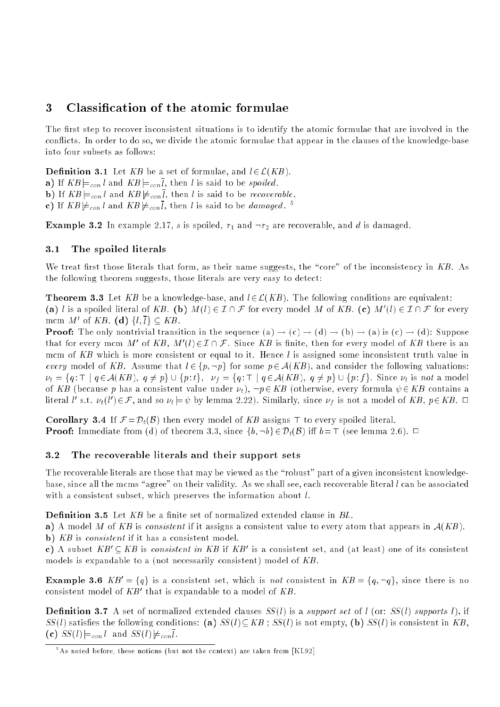### 3 3 Classication of the atomic formulae

The first step to recover inconsistent situations is to identify the atomic formulae that are involved in the con
icts. In order to do so, we divide the atomic formulae that appear in the clauses of the knowledge-base into four subsets as follows:

**Definition 3.1** Let KB be a set of formulae, and  $l \in \mathcal{L}(KB)$ . a) If  $KB \models_{con} l$  and  $KB \models_{con} \overline{l}$ , then l is said to be spoiled. **b**) If  $KB \models_{con} l$  and  $KB \not\models_{con} \overline{l}$ , then l is said to be *recoverable*. c) If  $KB \not\models_{con} l$  and  $KB \not\models_{con} l$ , then l is said to be damaged.  $^5$ 

**Example 3.2** In example 2.17, s is spoiled,  $r_1$  and  $\neg r_2$  are recoverable, and d is damaged.

### 3.1The spoiled literals

We treat first those literals that form, as their name suggests, the "core" of the inconsistency in  $KB$ . As the following theorem suggests, those literals are very easy to detect:

**Theorem 3.3** Let KB be a knowledge-base, and  $l \in \mathcal{L}(KB)$ . The following conditions are equivalent: (a) l is a spoiled literal of KB. (b)  $M(l) \in \mathcal{I} \cap \mathcal{F}$  for every model M of KB. (c)  $M'(l) \in \mathcal{I} \cap \mathcal{F}$  for every mcm M' of KB. (d)  $\{l, l\} \subseteq KB$ .

**Proof:** The only nontrivial transition in the sequence (a)  $\rightarrow$  (c)  $\rightarrow$  (d)  $\rightarrow$  (b)  $\rightarrow$  (a) is (c)  $\rightarrow$  (d): Suppose that for every mcm M' of KB,  $M'(l) \in \mathcal{I} \cap \mathcal{F}$ . Since KB is finite, then for every model of KB there is an mcm of KB which is more consistent or equal to it. Hence l is assigned some inconsistent truth value in every model of KB. Assume that  $l \in \{p, \neg p\}$  for some  $p \in A(KB)$ , and consider the following valuations:  $\nu_t = \{q : \top \mid q \in \mathcal{A}(KB), q \neq p\} \cup \{p : t\}, \quad \nu_f = \{q : \top \mid q \in \mathcal{A}(KB), q \neq p\} \cup \{p : f\}.$  Since  $\nu_t$  is not a model of KB (because p has a consistent value under  $\nu_t$ ),  $\neg p \in KB$  (otherwise, every formula  $\psi \in KB$  contains a literal *l'* s.t.  $\nu_t(l') \in \mathcal{F}$ , and so  $\nu_t \models \psi$  by lemma 2.22). Similarly, since  $\nu_f$  is not a model of KB,  $p \in KB$ .  $\Box$ 

**Corollary 3.4** If  $\mathcal{F} = \mathcal{D}_t(\mathcal{B})$  then every model of KB assigns  $\top$  to every spoiled literal. **Proof:** Immediate from (d) of theorem 3.3, since  $\{b, \neg b\} \in \mathcal{D}_t(\mathcal{B})$  iff  $b = \top$  (see lemma 2.6).  $\Box$ 

### 3.2The recoverable literals and their support sets

The recoverable literals are those that may be viewed as the "robust" part of a given inconsistent knowledgebase, since all the mcms "agree" on their validity. As we shall see, each recoverable literal  $l$  can be associated with a consistent subset, which preserves the information about l.

**Definition 3.5** Let  $KB$  be a finite set of normalized extended clause in  $BL$ .

a) A model M of KB is consistent if it assigns a consistent value to every atom that appears in  $A(KB)$ . b) KB is *consistent* if it has a consistent model.

c) A subset  $KB' \subset KB$  is *consistent in KB* if  $KB'$  is a consistent set, and (at least) one of its consistent models is expandable to a (not necessarily consistent) model of KB.

**Example 3.6**  $KB' = \{q\}$  is a consistent set, which is not consistent in  $KB = \{q, \neg q\}$ , since there is no consistent model of  $KB'$  that is expandable to a model of  $KB$ .

**Definition 3.7** A set of normalized extended clauses  $SS(l)$  is a support set of l (or:  $SS(l)$  supports l), if  $SS(l)$  satisfies the following conditions: (a)  $SS(l) \subseteq KB$ ; SS(l) is not empty, (b) SS(l) is consistent in KB. (c)  $SS(l) \models_{con} l$  and  $SS(l) \not\models_{con} l$ .

<sup>5</sup> As noted before, these notions (but not the context) are taken from [KL92].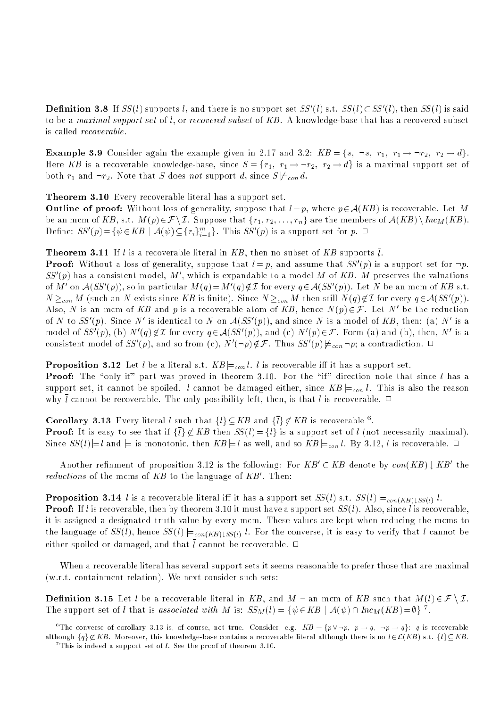**Definition 3.8** If  $SS(l)$  supports l, and there is no support set  $SS'(l)$  s.t.  $SS(l) \subset SS'(l)$ , then  $SS(l)$  is said to be a maximal support set of l, or recovered subset of KB. A knowledge-base that has a recovered subset is called recoverable.

**Example 3.9** Consider again the example given in 2.17 and 3.2:  $KB = \{s, \neg s, r_1, r_1 \rightarrow \neg r_2, r_2 \rightarrow d\}.$ Here KB is a recoverable knowledge-base, since  $S = \{r_1, r_1 \rightarrow \neg r_2, r_2 \rightarrow d\}$  is a maximal support set of both  $r_1$  and  $\neg r_2$ . Note that S does not support d, since  $S \not\models_{con} d$ .

Theorem 3.10 Every recoverable literal has a support set.

**Outline of proof:** Without loss of generality, suppose that  $l = p$ , where  $p \in A(KB)$  is recoverable. Let M be an mcm of KB, s.t.  $M(p) \in \mathcal{F} \setminus \mathcal{I}$ . Suppose that  $\{r_1, r_2, \ldots, r_n\}$  are the members of  $\mathcal{A}(KB) \setminus Inc_M(KB)$ . Define:  $SS'(p) = \{ \psi \in KB \mid \mathcal{A}(\psi) \subseteq \{r_i\}_{i=1}^m \}$ . This  $SS'(p)$  is a support set for  $p$ .  $\Box$ 

## **Theorem 3.11** If l is a recoverable literal in KB, then no subset of KB supports  $\overline{l}$ .

**Proof:** Without a loss of generality, suppose that  $l = p$ , and assume that  $SS'(p)$  is a support set for  $\neg p$ .  $SS'(p)$  has a consistent model, M', which is expandable to a model M of KB. M preserves the valuations of M' on  $\mathcal{A}(SS'(p))$ , so in particular  $M(q) = M'(q) \not\in \mathcal{I}$  for every  $q \in \mathcal{A}(SS'(p))$ . Let N be an mcm of KB s.t.  $N\geq_{con}M$  (such an  $N$  exists since  $KB$  is finite). Since  $N\geq_{con}M$  then still  $N(q)\not\in\mathcal{I}$  for every  $q\in\mathcal{A}(SS'(p)).$ Also, N is an mcm of KB and p is a recoverable atom of KB, hence  $N(p) \in \mathcal{F}$ . Let N' be the reduction of N to  $SS'(p)$ . Since N' is identical to N on  $\mathcal{A}(SS'(p))$ , and since N is a model of KB, then: (a) N' is a model of  $SS'(p)$ , (b)  $N'(q) \notin \mathcal{I}$  for every  $q \in \mathcal{A}(SS'(p))$ , and (c)  $N'(p) \in \mathcal{F}$ . Form (a) and (b), then, N' is a consistent model of  $SS'(p)$ , and so from (c),  $N'(\neg p)\notin\mathcal{F}$ . Thus  $SS'(p)\not\models_{con}\neg p$ ; a contradiction.  $\Box$ 

**Proposition 3.12** Let *l* be a literal s.t.  $KB \models_{con} l$ . *l* is recoverable iff it has a support set.

**Proof:** The "only if" part was proved in theorem 3.10. For the "if" direction note that since  $l$  has a support set, it cannot be spoiled. *l* cannot be damaged either, since  $KB \models_{con} l$ . This is also the reason why  $\overline{l}$  cannot be recoverable. The only possibility left, then, is that l is recoverable.  $\Box$ 

**Corollary 3.13** Every literal l such that  $\{l\} \subset KB$  and  $\{l\} \not\subset KB$  is recoverable  $^6$ .

**Proof:** It is easy to see that if  $\{\overline{l}\}\not\subset KB$  then  $SS(l) = \{l\}$  is a support set of l (not necessarily maximal). Since  $SS(l) \models l$  and  $\models$  is monotonic, then  $KB \models l$  as well, and so  $KB \models_{con} l$ . By 3.12, l is recoverable.  $\Box$ 

Another refinment of proposition 3.12 is the following: For  $KB' \subset KB$  denote by  $con(KB) \downarrow KB'$  the *reductions* of the mcms of KB to the language of KB'. Then:

**Proposition 3.14** l is a recoverable literal iff it has a support set  $SS(l)$  s.t.  $SS(l) \models_{con(KB) \downarrow SS(l)} l$ . **Proof:** If l is recoverable, then by theorem 3.10 it must have a support set  $SS(l)$ . Also, since l is recoverable, it is assigned a designated truth value by every mcm. These values are kept when reducing the mcms to the language of  $SS(l)$ , hence  $SS(l) \models_{con(KB) \downarrow SS(l)} l$ . For the converse, it is easy to verify that l cannot be either spoiled or damaged, and that  $\overline{l}$  cannot be recoverable.  $\Box$ 

When a recoverable literal has several support sets it seems reasonable to prefer those that are maximal (w.r.t. containment relation). We next consider such sets:

**Definition 3.15** Let *l* be a recoverable literal in KB, and  $M$  – an mcm of KB such that  $M(l) \in \mathcal{F} \setminus \mathcal{I}$ . The support set of l that is associated with M is:  $SS_M(l) = \{ \psi \in KB \mid A(\psi) \cap Inc_M(KB)=\emptyset \}$ <sup>7</sup>.

The converse of corollary 3.13 is, of course, not true. Consider, e.g.  $KB = \{p \lor \neg p, \; p \to q, \; \neg p \to q\}$ :  $q$  is recoverable although  $\{q\} \not\subset KB$ . Moreover, this knowledge-base contains a recoverable literal although there is no  $l \in \mathcal{L}(KB)$  s.t.  $\{l\} \subset KB$ .

<sup>7</sup> This is indeed a support set of l. See the proof of theorem 3.10.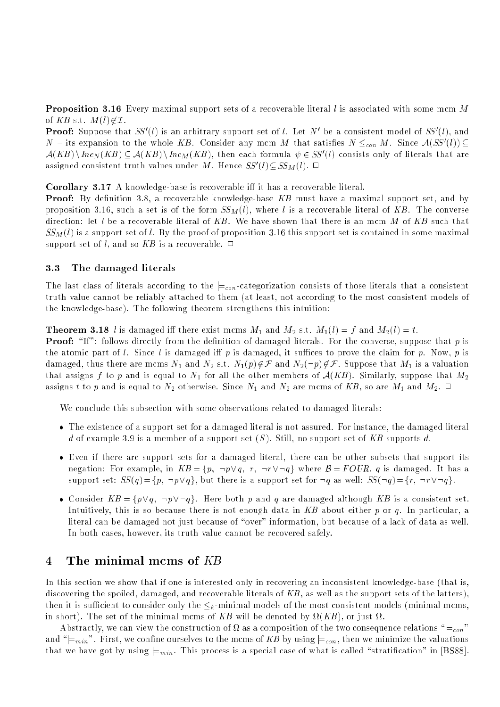**Proposition 3.16** Every maximal support sets of a recoverable literal l is associated with some mcm M of KB s.t.  $M(l) \notin \mathcal{I}$ .

**Proof:** Suppose that  $SS'(l)$  is an arbitrary support set of l. Let N' be a consistent model of  $SS'(l)$ , and  $N$  – its expansion to the whole KB. Consider any mcm M that satisfies  $N \leq_{con} M$ . Since  $\mathcal{A}(SS'(l)) \subseteq$  $\mathcal{A}(KB)\setminus \mathit{Inc}_N(KB)\subseteq \mathcal{A}(KB)\setminus \mathit{Inc}_M(KB),$  then each formula  $\psi\in SS'(l)$  consists only of literals that are assigned consistent truth values under M. Hence  $SS'(l) \subseteq SS_M(l)$ .  $\Box$ 

Corollary 3.17 A knowledge-base is recoverable iff it has a recoverable literal.

**Proof:** By definition 3.8, a recoverable knowledge-base  $KB$  must have a maximal support set, and by proposition 3.16, such a set is of the form  $SS_M(l)$ , where l is a recoverable literal of KB. The converse direction: let l be a recoverable literal of KB. We have shown that there is an mcm M of KB such that  $SS_M(l)$  is a support set of l. By the proof of proposition 3.16 this support set is contained in some maximal support set of l, and so KB is a recoverable.  $\Box$ 

#### 3.3The damaged literals

The last class of literals according to the  $\models_{con}$ -categorization consists of those literals that a consistent truth value cannot be reliably attached to them (at least, not according to the most consistent models of the knowledge-base). The following theorem strengthens this intuition:

**Theorem 3.18** l is damaged iff there exist mcms  $M_1$  and  $M_2$  s.t.  $M_1(l) = f$  and  $M_2(l) = t$ .

**Proof:** "If": follows directly from the definition of damaged literals. For the converse, suppose that  $p$  is the atomic part of l. Since l is damaged iff  $p$  is damaged, it suffices to prove the claim for  $p$ . Now,  $p$  is damaged, thus there are mcms  $N_1$  and  $N_2$  s.t.  $N_1(p) \notin \mathcal{F}$  and  $N_2(\neg p) \notin \mathcal{F}$ . Suppose that  $M_1$  is a valuation that assigns f to p and is equal to  $N_1$  for all the other members of  $A(KB)$ . Similarly, suppose that  $M_2$ assigns t to p and is equal to  $N_2$  otherwise. Since  $N_1$  and  $N_2$  are mcms of KB, so are  $M_1$  and  $M_2$ .  $\Box$ 

We conclude this subsection with some observations related to damaged literals:

- The existence of a support set for a damaged literal is not assured. For instance, the damaged literal d of example 3.9 is a member of a support set  $(S)$ . Still, no support set of KB supports d.
- Even if there are support sets for a damaged literal, there can be other subsets that support its negation: For example, in  $KB = \{p, \neg p \lor q, r, \neg r \lor \neg q\}$  where  $\mathcal{B} = FOUR, q$  is damaged. It has a support set:  $SS(q) = \{p, \neg p \lor q\}$ , but there is a support set for  $\neg q$  as well:  $SS(\neg q) = \{r, \neg r \lor \neg q\}.$
- Consider  $KB = \{p \lor q, \neg p \lor \neg q\}$ . Here both p and q are damaged although KB is a consistent set. Intuitively, this is so because there is not enough data in  $KB$  about either  $p$  or  $q$ . In particular, a literal can be damaged not just because of "over" information, but because of a lack of data as well. In both cases, however, its truth value cannot be recovered safely.

# 4 The minimal mcms of KB

In this section we show that if one is interested only in recovering an inconsistent knowledge-base (that is, discovering the spoiled, damaged, and recoverable literals of KB, as well as the support sets of the latters), then it is sufficient to consider only the  $\leq_k$ -minimal models of the most consistent models (minimal mcms, in short). The set of the minimal mcms of KB will be denoted by  $\Omega(KB)$ , or just  $\Omega$ .

 $\mathcal{A}$  as a construction of the consequence relation of the two consequence relations  $\mathcal{A}$ and " $\models_{min}$ ". First, we confine ourselves to the mcms of KB by using  $\models_{con}$ , then we minimize the valuations that we have got by using  $\models_{min}$ . This process is a special case of what is called "stratification" in [BS88].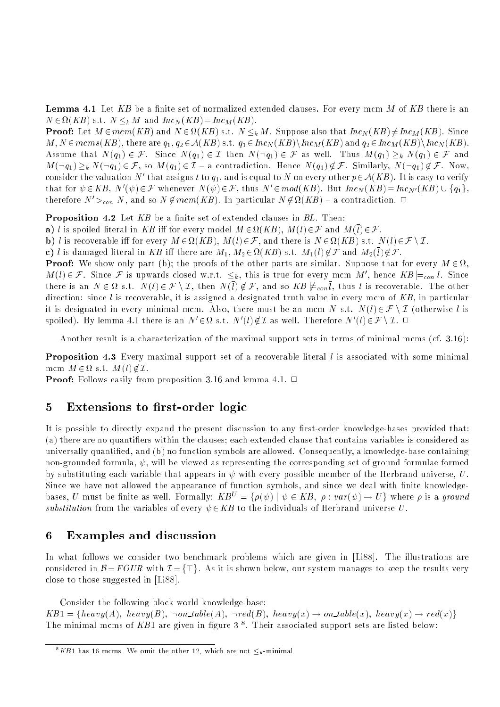**Lemma 4.1** Let  $KB$  be a finite set of normalized extended clauses. For every mcm  $M$  of  $KB$  there is an  $N \in \Omega(KB)$  s.t.  $N \leq_k M$  and  $Inc_N(KB)=Inc_M(KB)$ .

**Proof:** Let  $M \in \text{mcm}(KB)$  and  $N \in \Omega(KB)$  s.t.  $N \leq_k M$ . Suppose also that  $\text{Inc}_N(KB) \neq \text{Inc}_M(KB)$ . Since M,  $N \in mcms(KB)$ , there are  $q_1, q_2 \in \mathcal{A}(KB)$  s.t.  $q_1 \in \text{Inc}_N (KB) \setminus \text{Inc}_M (KB)$  and  $q_2 \in \text{Inc}_M (KB) \setminus \text{Inc}_N (KB)$ . Assume that  $N(q_1) \in \mathcal{F}$ . Since  $N(q_1) \in \mathcal{I}$  then  $N(\neg q_1) \in \mathcal{F}$  as well. Thus  $M(q_1) \geq_k N(q_1) \in \mathcal{F}$  and  $M(\neg q_1) \geq_k N(\neg q_1) \in \mathcal{F}$ , so  $M(q_1) \in \mathcal{I}$  - a contradiction. Hence  $N(q_1) \notin \mathcal{F}$ . Similarly,  $N(\neg q_1) \notin \mathcal{F}$ . Now, consider the valuation  $N'$  that assigns  $t$  to  $q_1,$  and is equal to  $N$  on every other  $p\in \mathcal{A}(KB)$ . It is easy to verify that for  $\psi \in KB$ ,  $N'(\psi) \in \mathcal{F}$  whenever  $N(\psi) \in \mathcal{F}$ , thus  $N' \in mod(KB)$ . But  $Inc_N(KB) = Inc_{N'}(KB) \cup \{q_1\}$ , therefore  $N' >_{con} N$ , and so  $N \notin mem(KB)$ . In particular  $N \notin \Omega(KB)$  – a contradiction.  $\Box$ 

**Proposition 4.2** Let  $KB$  be a finite set of extended clauses in  $BL$ . Then:

**a**) l is spoiled literal in KB iff for every model  $M \in \Omega(KB)$ ,  $M(l) \in \mathcal{F}$  and  $M(l) \in \mathcal{F}$ .

**b**) l is recoverable iff for every  $M \in \Omega(KB)$ ,  $M(l) \in \mathcal{F}$ , and there is  $N \in \Omega(KB)$  s.t.  $N(l) \in \mathcal{F} \setminus \mathcal{I}$ .

**c**) *l* is damaged literal in KB iff there are  $M_1, M_2 \in \Omega(KB)$  s.t.  $M_1(l) \not\in \mathcal{F}$  and  $M_2(l) \not\in \mathcal{F}$ .

**Proof:** We show only part (b); the proofs of the other parts are similar. Suppose that for every  $M \in \Omega$ ,  $M(l) \in \mathcal{F}$ . Since  $\mathcal F$  is upwards closed w.r.t.  $\leq_k$ , this is true for every mcm  $M'$ , hence  $KB \models_{con} l$ . Since there is an  $N \in \Omega$  s.t.  $N(l) \in \mathcal{F} \setminus \mathcal{I}$ , then  $N(l) \notin \mathcal{F}$ , and so  $KB \not\models_{conl} l$ , thus l is recoverable. The other direction: since  $l$  is recoverable, it is assigned a designated truth value in every mcm of  $KB$ , in particular it is designated in every minimal mcm. Also, there must be an mcm N s.t.  $N(l) \in \mathcal{F} \setminus \mathcal{I}$  (otherwise l is spoiled). By lemma 4.1 there is an  $N' \!\in \!\Omega$  s.t.  $N'(l) \!\not\in \!\mathcal{I}$  as well. Therefore  $N'(l) \!\in \!\mathcal{F} \setminus \mathcal{I}$ .  $\Box$ 

Another result is a characterization of the maximal support sets in terms of minimal mcms (cf. 3.16):

**Proposition 4.3** Every maximal support set of a recoverable literal  $l$  is associated with some minimal mcm  $M \in \Omega$  s.t.  $M(l) \notin \mathcal{I}$ .

**Proof:** Follows easily from proposition 3.16 and lemma 4.1.  $\Box$ 

# 5 Extensions to first-order logic

It is possible to directly expand the present discussion to any first-order knowledge-bases provided that: (a) there are no quantiers within the clauses; each extended clause that contains variables is considered as universally quantied, and (b) no function symbols are allowed. Consequently, a knowledge-base containing non-grounded formula,  $\psi$ , will be viewed as representing the corresponding set of ground formulae formed by substituting each variable that appears in  $\psi$  with every possible member of the Herbrand universe, U. Since we have not allowed the appearance of function symbols, and since we deal with finite knowledgebases, U must be finite as well. Formally:  $KB^U = \{\rho(\psi) \mid \psi \in KB, \rho : var(\psi) \to U\}$  where  $\rho$  is a ground substitution from the variables of every  $\psi \in KB$  to the individuals of Herbrand universe U.

## 6 Examples and discussion

In what follows we consider two benchmark problems which are given in [Li88]. The illustrations are considered in  $B = FOUR$  with  $I = \{\top\}$ . As it is shown below, our system manages to keep the results very close to those suggested in [Li88].

Consider the following block world knowledge-base:

 $KB1 = \{heavy(A), heavy(B), \neg on\_table(A), \neg red(B), heavy(x) \rightarrow on\_table(x), heavy(x) \rightarrow red(x)\}$ The minimal mcms of KB1 are given in figure 3  $\textdegree$ . Their associated support sets are listed below:

<sup>&</sup>lt;sup>8</sup>KB1 has 16 mcms. We omit the other 12, which are not  $\leq_k$ -minimal.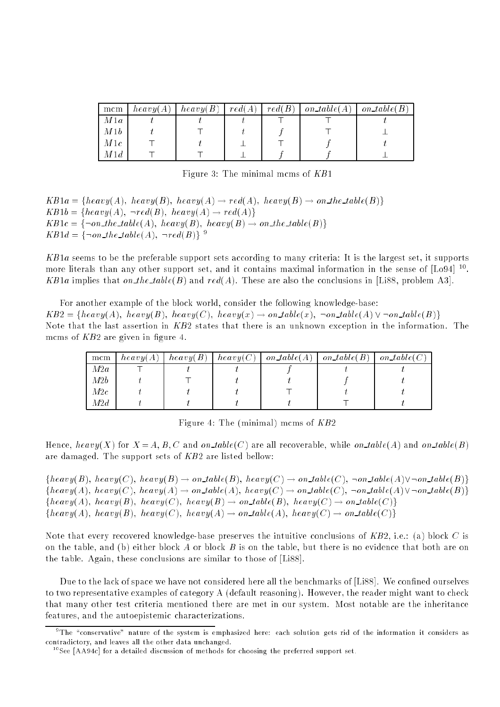| mcm  | heavy(A) | heavy(B) | red(A) | red(B) | on_table(A) | on_table( $B$ ) |
|------|----------|----------|--------|--------|-------------|-----------------|
| M1a  |          |          |        |        |             |                 |
| M1b  |          |          |        |        |             |                 |
| M1c  |          |          |        |        |             |                 |
| M 1d |          |          |        |        |             |                 |

Figure 3: The minimal mcms of KB1

 $KB1a = \{heavy(A), heavy(B), heavy(A) \rightarrow red(A), heavy(B) \rightarrow on\_the\_table(B)\}\$  $KB1b = \{heavy(A), \neg red(B), \text{ heavy}(A) \rightarrow \text{red}(A)\}$  $KB1c = \{\neg on\_the\_table(A), heavy(B), heavy(B) \rightarrow on\_the\_table(B)\}\$  $KB1d = \{\neg on\_the\_table(A), \neg red(B)\}$ <sup>9</sup>

KB1a seems to be the preferable support sets according to many criteria: It is the largest set, it supports more interals than any other support set, and it contains maximal information in the sense of  $[{\tt{LO94}}]^{-1}$ . KB1a implies that on the table(B) and  $red(A)$ . These are also the conclusions in [Li88, problem A3].

For another example of the block world, consider the following knowledge-base:  $KB2 = \{heavy(A), heavy(B), heavy(C), heavy(x) \rightarrow on\_table(x), \neg on\_table(A) \vee \neg on\_table(B)\}$ Note that the last assertion in KB2 states that there is an unknown exception in the information. The mcms of  $KB2$  are given in figure 4.

| mcm | heavy(A) | $\blacksquare$ heavy $(B)$ . | $^\perp$ heavy $(C)$ + | on_table(A) | $on\_table(B)$ | on_table(C) |
|-----|----------|------------------------------|------------------------|-------------|----------------|-------------|
| M2a |          |                              |                        |             |                |             |
| M2b |          |                              |                        |             |                |             |
| M2c |          |                              |                        |             |                |             |
| M2d |          |                              |                        |             |                |             |

Figure 4: The (minimal) mcms of KB2

Hence, heavy(X) for  $X = A, B, C$  and on table(C) are all recoverable, while on table(A) and on table(B) are damaged. The support sets of KB2 are listed bellow:

 ${heavy(B), \text{heavy}(C), \text{heavy}(B) \rightarrow on\_table(B), \text{heavy}(C) \rightarrow on\_table(C), \neg on\_table(A) \vee \neg on\_table(B)}$  ${heavy(A), heavy(C), heavy(A) \rightarrow on\_table(A), heavy(C) \rightarrow on\_table(C), \neg on\_table(A) \vee \neg on\_table(B)}$  ${heavy(A), \text{heavy}(B), \text{heavy}(C), \text{heavy}(B) \rightarrow on\_table(B), \text{heavy}(C) \rightarrow on\_table(C)}$  ${heavy(A), heavy(B), heavy(C), heavy(A) \rightarrow on\_table(A), heavy(C) \rightarrow on\_table(C)}$ 

Note that every recovered knowledge-base preserves the intuitive conclusions of  $KB2$ , i.e.: (a) block C is on the table, and (b) either block  $A$  or block  $B$  is on the table, but there is no evidence that both are on the table. Again, these conclusions are similar to those of [Li88].

Due to the lack of space we have not considered here all the benchmarks of [Li88]. We confined ourselves to two representative examples of category A (default reasoning). However, the reader might want to check that many other test criteria mentioned there are met in our system. Most notable are the inheritance features, and the autoepistemic characterizations.

<sup>&</sup>quot;The "conservative" nature of the system is emphasized here: each solution gets rid of the information it considers as contradictory, and leaves all the other data unchanged.

 $^{10}$ See [AA94c] for a detailed discussion of methods for choosing the preferred support set.